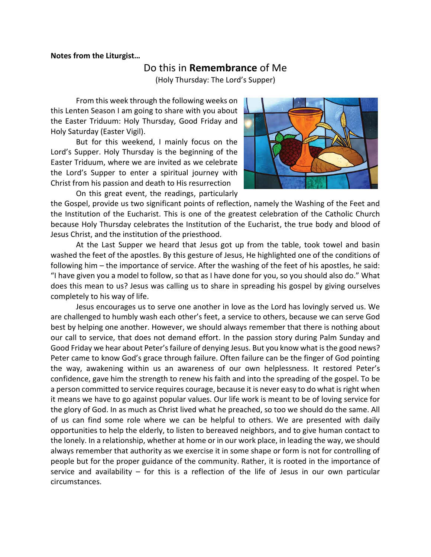## **Notes from the Liturgist…**

## Do this in **Remembrance** of Me

(Holy Thursday: The Lord's Supper)

From this week through the following weeks on this Lenten Season I am going to share with you about the Easter Triduum: Holy Thursday, Good Friday and Holy Saturday (Easter Vigil).

But for this weekend, I mainly focus on the Lord's Supper. Holy Thursday is the beginning of the Easter Triduum, where we are invited as we celebrate the Lord's Supper to enter a spiritual journey with Christ from his passion and death to His resurrection

On this great event, the readings, particularly



the Gospel, provide us two significant points of reflection, namely the Washing of the Feet and the Institution of the Eucharist. This is one of the greatest celebration of the Catholic Church because Holy Thursday celebrates the Institution of the Eucharist, the true body and blood of Jesus Christ, and the institution of the priesthood.

At the Last Supper we heard that Jesus got up from the table, took towel and basin washed the feet of the apostles. By this gesture of Jesus, He highlighted one of the conditions of following him – the importance of service. After the washing of the feet of his apostles, he said: "I have given you a model to follow, so that as I have done for you, so you should also do." What does this mean to us? Jesus was calling us to share in spreading his gospel by giving ourselves completely to his way of life.

Jesus encourages us to serve one another in love as the Lord has lovingly served us. We are challenged to humbly wash each other's feet, a service to others, because we can serve God best by helping one another. However, we should always remember that there is nothing about our call to service, that does not demand effort. In the passion story during Palm Sunday and Good Friday we hear about Peter's failure of denying Jesus. But you know what is the good news? Peter came to know God's grace through failure. Often failure can be the finger of God pointing the way, awakening within us an awareness of our own helplessness. It restored Peter's confidence, gave him the strength to renew his faith and into the spreading of the gospel. To be a person committed to service requires courage, because it is never easy to do what is right when it means we have to go against popular values. Our life work is meant to be of loving service for the glory of God. In as much as Christ lived what he preached, so too we should do the same. All of us can find some role where we can be helpful to others. We are presented with daily opportunities to help the elderly, to listen to bereaved neighbors, and to give human contact to the lonely. In a relationship, whether at home or in our work place, in leading the way, we should always remember that authority as we exercise it in some shape or form is not for controlling of people but for the proper guidance of the community. Rather, it is rooted in the importance of service and availability – for this is a reflection of the life of Jesus in our own particular circumstances.